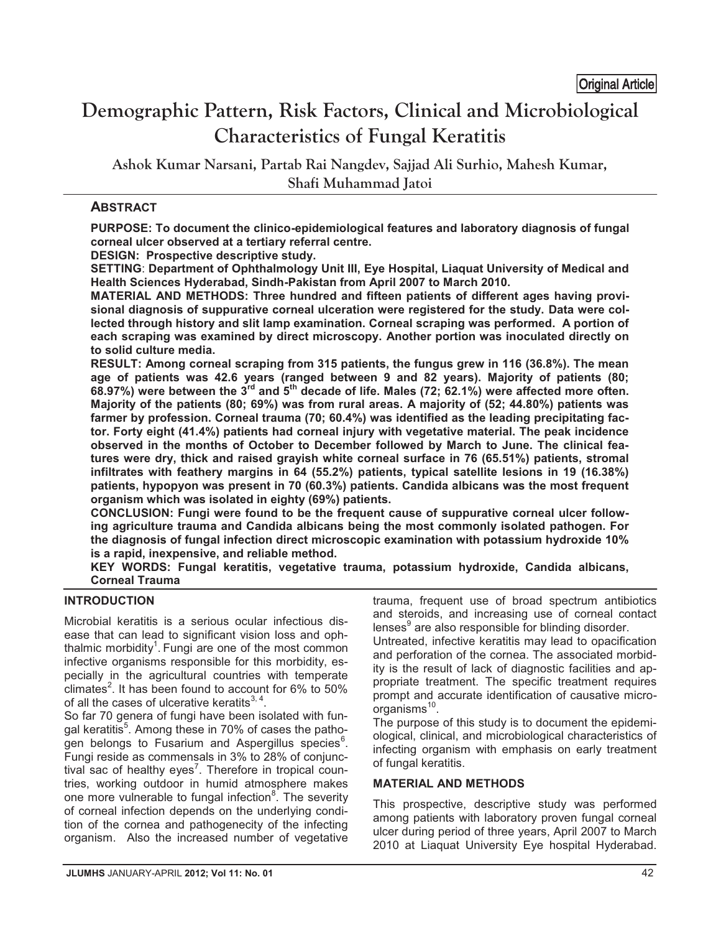# **Demographic Pattern, Risk Factors, Clinical and Microbiological Characteristics of Fungal Keratitis**  <u>original Article</u>

**Ashok Kumar Narsani, Partab Rai Nangdev, Sajjad Ali Surhio, Mahesh Kumar, Shafi Muhammad Jatoi**

## **ABSTRACT**

**PURPOSE: To document the clinico-epidemiological features and laboratory diagnosis of fungal corneal ulcer observed at a tertiary referral centre.**

**DESIGN: Prospective descriptive study.** 

**SETTING**: **Department of Ophthalmology Unit III, Eye Hospital, Liaquat University of Medical and Health Sciences Hyderabad, Sindh-Pakistan from April 2007 to March 2010.** 

**MATERIAL AND METHODS: Three hundred and fifteen patients of different ages having provisional diagnosis of suppurative corneal ulceration were registered for the study. Data were collected through history and slit lamp examination. Corneal scraping was performed. A portion of each scraping was examined by direct microscopy. Another portion was inoculated directly on to solid culture media.** 

**RESULT: Among corneal scraping from 315 patients, the fungus grew in 116 (36.8%). The mean age of patients was 42.6 years (ranged between 9 and 82 years). Majority of patients (80; 68.97%) were between the 3rd and 5th decade of life. Males (72; 62.1%) were affected more often. Majority of the patients (80; 69%) was from rural areas. A majority of (52; 44.80%) patients was farmer by profession. Corneal trauma (70; 60.4%) was identified as the leading precipitating factor. Forty eight (41.4%) patients had corneal injury with vegetative material. The peak incidence observed in the months of October to December followed by March to June. The clinical features were dry, thick and raised grayish white corneal surface in 76 (65.51%) patients, stromal infiltrates with feathery margins in 64 (55.2%) patients, typical satellite lesions in 19 (16.38%) patients, hypopyon was present in 70 (60.3%) patients. Candida albicans was the most frequent organism which was isolated in eighty (69%) patients.** 

**CONCLUSION: Fungi were found to be the frequent cause of suppurative corneal ulcer following agriculture trauma and Candida albicans being the most commonly isolated pathogen. For the diagnosis of fungal infection direct microscopic examination with potassium hydroxide 10% is a rapid, inexpensive, and reliable method.** 

**KEY WORDS: Fungal keratitis, vegetative trauma, potassium hydroxide, Candida albicans, Corneal Trauma** 

### **INTRODUCTION**

Microbial keratitis is a serious ocular infectious disease that can lead to significant vision loss and ophthalmic morbidity<sup>1</sup>. Fungi are one of the most common infective organisms responsible for this morbidity, especially in the agricultural countries with temperate climates<sup>2</sup>. It has been found to account for 6% to 50% of all the cases of ulcerative keratits $^{3, 4}$ .

So far 70 genera of fungi have been isolated with fungal keratitis<sup>5</sup>. Among these in 70% of cases the pathogen belongs to Fusarium and Aspergillus species<sup>6</sup>. Fungi reside as commensals in 3% to 28% of conjunctival sac of healthy eyes<sup>7</sup>. Therefore in tropical countries, working outdoor in humid atmosphere makes one more vulnerable to fungal infection<sup>8</sup>. The severity of corneal infection depends on the underlying condition of the cornea and pathogenecity of the infecting organism. Also the increased number of vegetative

trauma, frequent use of broad spectrum antibiotics and steroids, and increasing use of corneal contact lenses<sup>9</sup> are also responsible for blinding disorder.

Untreated, infective keratitis may lead to opacification and perforation of the cornea. The associated morbidity is the result of lack of diagnostic facilities and appropriate treatment. The specific treatment requires prompt and accurate identification of causative microorganisms<sup>10</sup>.

The purpose of this study is to document the epidemiological, clinical, and microbiological characteristics of infecting organism with emphasis on early treatment of fungal keratitis.

### **MATERIAL AND METHODS**

This prospective, descriptive study was performed among patients with laboratory proven fungal corneal ulcer during period of three years, April 2007 to March 2010 at Liaquat University Eye hospital Hyderabad.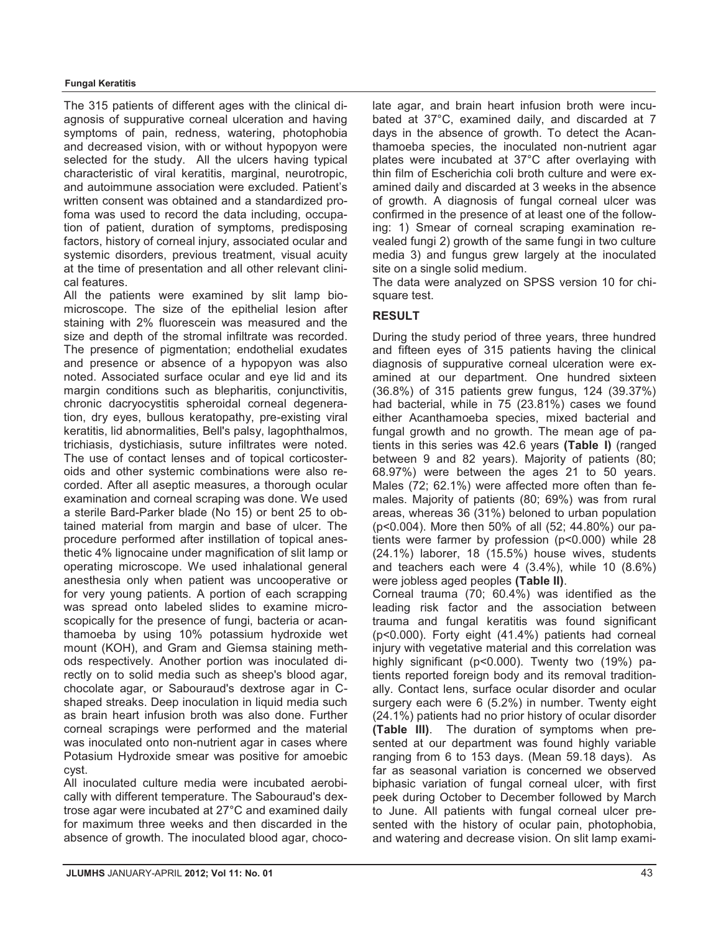#### **Fungal Keratitis**

The 315 patients of different ages with the clinical diagnosis of suppurative corneal ulceration and having symptoms of pain, redness, watering, photophobia and decreased vision, with or without hypopyon were selected for the study. All the ulcers having typical characteristic of viral keratitis, marginal, neurotropic, and autoimmune association were excluded. Patient's written consent was obtained and a standardized profoma was used to record the data including, occupation of patient, duration of symptoms, predisposing factors, history of corneal injury, associated ocular and systemic disorders, previous treatment, visual acuity at the time of presentation and all other relevant clinical features.

All the patients were examined by slit lamp biomicroscope. The size of the epithelial lesion after staining with 2% fluorescein was measured and the size and depth of the stromal infiltrate was recorded. The presence of pigmentation; endothelial exudates and presence or absence of a hypopyon was also noted. Associated surface ocular and eye lid and its margin conditions such as blepharitis, conjunctivitis, chronic dacryocystitis spheroidal corneal degeneration, dry eyes, bullous keratopathy, pre-existing viral keratitis, lid abnormalities, Bell's palsy, lagophthalmos, trichiasis, dystichiasis, suture infiltrates were noted. The use of contact lenses and of topical corticosteroids and other systemic combinations were also recorded. After all aseptic measures, a thorough ocular examination and corneal scraping was done. We used a sterile Bard-Parker blade (No 15) or bent 25 to obtained material from margin and base of ulcer. The procedure performed after instillation of topical anesthetic 4% lignocaine under magnification of slit lamp or operating microscope. We used inhalational general anesthesia only when patient was uncooperative or for very young patients. A portion of each scrapping was spread onto labeled slides to examine microscopically for the presence of fungi, bacteria or acanthamoeba by using 10% potassium hydroxide wet mount (KOH), and Gram and Giemsa staining methods respectively. Another portion was inoculated directly on to solid media such as sheep's blood agar, chocolate agar, or Sabouraud's dextrose agar in Cshaped streaks. Deep inoculation in liquid media such as brain heart infusion broth was also done. Further corneal scrapings were performed and the material was inoculated onto non-nutrient agar in cases where Potasium Hydroxide smear was positive for amoebic cyst.

All inoculated culture media were incubated aerobically with different temperature. The Sabouraud's dextrose agar were incubated at 27°C and examined daily for maximum three weeks and then discarded in the absence of growth. The inoculated blood agar, chocolate agar, and brain heart infusion broth were incubated at 37°C, examined daily, and discarded at 7 days in the absence of growth. To detect the Acanthamoeba species, the inoculated non-nutrient agar plates were incubated at 37°C after overlaying with thin film of Escherichia coli broth culture and were examined daily and discarded at 3 weeks in the absence of growth. A diagnosis of fungal corneal ulcer was confirmed in the presence of at least one of the following: 1) Smear of corneal scraping examination revealed fungi 2) growth of the same fungi in two culture media 3) and fungus grew largely at the inoculated site on a single solid medium.

The data were analyzed on SPSS version 10 for chisquare test.

### **RESULT**

During the study period of three years, three hundred and fifteen eyes of 315 patients having the clinical diagnosis of suppurative corneal ulceration were examined at our department. One hundred sixteen (36.8%) of 315 patients grew fungus, 124 (39.37%) had bacterial, while in 75 (23.81%) cases we found either Acanthamoeba species, mixed bacterial and fungal growth and no growth. The mean age of patients in this series was 42.6 years **(Table I)** (ranged between 9 and 82 years). Majority of patients (80; 68.97%) were between the ages 21 to 50 years. Males (72; 62.1%) were affected more often than females. Majority of patients (80; 69%) was from rural areas, whereas 36 (31%) beloned to urban population (p<0.004). More then 50% of all (52; 44.80%) our patients were farmer by profession (p<0.000) while 28 (24.1%) laborer, 18 (15.5%) house wives, students and teachers each were 4 (3.4%), while 10 (8.6%) were jobless aged peoples **(Table II)**.

Corneal trauma (70; 60.4%) was identified as the leading risk factor and the association between trauma and fungal keratitis was found significant (p<0.000). Forty eight (41.4%) patients had corneal injury with vegetative material and this correlation was highly significant (p<0.000). Twenty two (19%) patients reported foreign body and its removal traditionally. Contact lens, surface ocular disorder and ocular surgery each were 6 (5.2%) in number. Twenty eight (24.1%) patients had no prior history of ocular disorder **(Table III)**. The duration of symptoms when presented at our department was found highly variable ranging from 6 to 153 days. (Mean 59.18 days). As far as seasonal variation is concerned we observed biphasic variation of fungal corneal ulcer, with first peek during October to December followed by March to June. All patients with fungal corneal ulcer presented with the history of ocular pain, photophobia, and watering and decrease vision. On slit lamp exami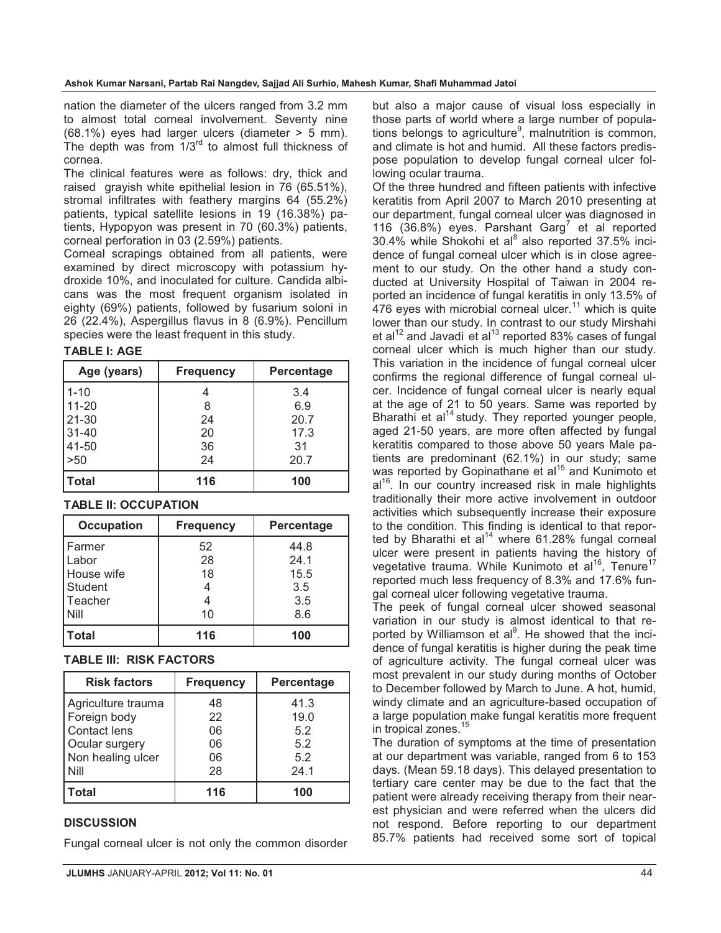nation the diameter of the ulcers ranged from 3.2 mm to almost total corneal involvement. Seventy nine (68.1%) eyes had larger ulcers (diameter > 5 mm). The depth was from  $1/3^{rd}$  to almost full thickness of cornea.

The clinical features were as follows: dry, thick and raised grayish white epithelial lesion in 76 (65.51%), stromal infiltrates with feathery margins 64 (55.2%) patients, typical satellite lesions in 19 (16.38%) patients, Hypopyon was present in 70 (60.3%) patients, corneal perforation in 03 (2.59%) patients.

Corneal scrapings obtained from all patients, were examined by direct microscopy with potassium hydroxide 10%, and inoculated for culture. Candida albicans was the most frequent organism isolated in eighty (69%) patients, followed by fusarium soloni in 26 (22.4%), Aspergillus flavus in 8 (6.9%). Pencillum species were the least frequent in this study.

**TABLE I: AGE**

| Age (years)  | <b>Frequency</b> | Percentage |
|--------------|------------------|------------|
| $1 - 10$     |                  | 3.4        |
| $11 - 20$    |                  | 6.9        |
| $21 - 30$    | 24               | 20.7       |
| $31 - 40$    | 20               | 17.3       |
| 41-50        | 36               | 31         |
| $>50$        | 24               | 20.7       |
| <b>Total</b> | 116              | 100        |

### **TABLE II: OCCUPATION**

| <b>Occupation</b> | <b>Frequency</b> | <b>Percentage</b> |
|-------------------|------------------|-------------------|
| l Farmer          | 52               | 44.8              |
| Labor             | 28               | 24.1              |
| House wife        | 18               | 15.5              |
| Student           |                  | 3.5               |
| Teacher           |                  | 3.5               |
| Nill              | 10               | 8.6               |
| Total             | 116              | 100               |

### **TABLE III: RISK FACTORS**

| <b>Risk factors</b>                                                                                      | <b>Frequency</b>                 | <b>Percentage</b>                         |
|----------------------------------------------------------------------------------------------------------|----------------------------------|-------------------------------------------|
| Agriculture trauma<br>Foreign body<br>Contact lens<br>Ocular surgery<br>Non healing ulcer<br><b>Nill</b> | 48<br>22<br>06<br>06<br>06<br>28 | 41.3<br>19.0<br>5.2<br>5.2<br>5.2<br>24.1 |
| <b>Total</b>                                                                                             | 116                              | 100                                       |

### **DISCUSSION**

Fungal corneal ulcer is not only the common disorder

but also a major cause of visual loss especially in those parts of world where a large number of populations belongs to agriculture<sup>9</sup>, malnutrition is common, and climate is hot and humid. All these factors predispose population to develop fungal corneal ulcer following ocular trauma.

Of the three hundred and fifteen patients with infective keratitis from April 2007 to March 2010 presenting at our department, fungal corneal ulcer was diagnosed in 116 (36.8%) eyes. Parshant Garg<sup>7</sup> et al reported 30.4% while Shokohi et al<sup>8</sup> also reported 37.5% incidence of fungal corneal ulcer which is in close agreement to our study. On the other hand a study conducted at University Hospital of Taiwan in 2004 reported an incidence of fungal keratitis in only 13.5% of 476 eyes with microbial corneal ulcer.<sup>11</sup> which is quite lower than our study. In contrast to our study Mirshahi et al $12$  and Javadi et al $13$  reported 83% cases of fungal corneal ulcer which is much higher than our study. This variation in the incidence of fungal corneal ulcer confirms the regional difference of fungal corneal ulcer. Incidence of fungal corneal ulcer is nearly equal at the age of 21 to 50 years. Same was reported by Bharathi et al<sup>14</sup> study. They reported younger people, aged 21-50 years, are more often affected by fungal keratitis compared to those above 50 years Male patients are predominant (62.1%) in our study; same was reported by Gopinathane et al<sup>15</sup> and Kunimoto et  $al^{16}$ . In our country increased risk in male highlights traditionally their more active involvement in outdoor activities which subsequently increase their exposure to the condition. This finding is identical to that reported by Bharathi et al<sup>14</sup> where  $61.28\%$  fungal corneal ulcer were present in patients having the history of vegetative trauma. While Kunimoto et al<sup>16</sup>, Tenure<sup>17</sup> reported much less frequency of 8.3% and 17.6% fungal corneal ulcer following vegetative trauma.

The peek of fungal corneal ulcer showed seasonal variation in our study is almost identical to that reported by Williamson et al<sup>9</sup>. He showed that the incidence of fungal keratitis is higher during the peak time of agriculture activity. The fungal corneal ulcer was most prevalent in our study during months of October to December followed by March to June. A hot, humid, windy climate and an agriculture-based occupation of a large population make fungal keratitis more frequent in tropical zones.<sup>15</sup>

The duration of symptoms at the time of presentation at our department was variable, ranged from 6 to 153 days. (Mean 59.18 days). This delayed presentation to tertiary care center may be due to the fact that the patient were already receiving therapy from their nearest physician and were referred when the ulcers did not respond. Before reporting to our department 85.7% patients had received some sort of topical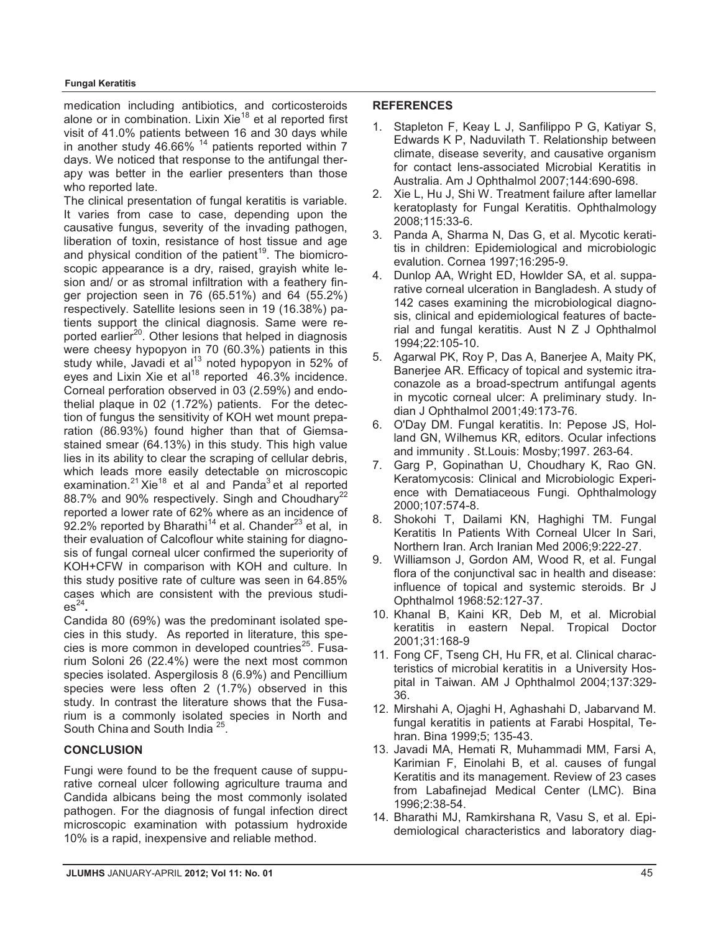medication including antibiotics, and corticosteroids alone or in combination. Lixin Xie<sup>18</sup> et al reported first visit of 41.0% patients between 16 and 30 days while in another study 46.66%  $14$  patients reported within 7 days. We noticed that response to the antifungal therapy was better in the earlier presenters than those who reported late.

The clinical presentation of fungal keratitis is variable. It varies from case to case, depending upon the causative fungus, severity of the invading pathogen, liberation of toxin, resistance of host tissue and age and physical condition of the patient<sup>19</sup>. The biomicroscopic appearance is a dry, raised, grayish white lesion and/ or as stromal infiltration with a feathery finger projection seen in 76 (65.51%) and 64 (55.2%) respectively. Satellite lesions seen in 19 (16.38%) patients support the clinical diagnosis. Same were reported earlier<sup>20</sup>. Other lesions that helped in diagnosis were cheesy hypopyon in 70 (60.3%) patients in this study while, Javadi et al $13$  noted hypopyon in 52% of eyes and Lixin Xie et al<sup>18</sup> reported  $46.3\%$  incidence. Corneal perforation observed in 03 (2.59%) and endothelial plaque in 02 (1.72%) patients. For the detection of fungus the sensitivity of KOH wet mount preparation (86.93%) found higher than that of Giemsastained smear (64.13%) in this study. This high value lies in its ability to clear the scraping of cellular debris, which leads more easily detectable on microscopic examination.<sup>21</sup> Xie<sup>18</sup> et al and Panda<sup>3</sup> et al reported 88.7% and 90% respectively. Singh and Choudhary<sup>22</sup> reported a lower rate of 62% where as an incidence of 92.2% reported by Bharathi<sup>14</sup> et al. Chander<sup>23</sup> et al. in their evaluation of Calcoflour white staining for diagnosis of fungal corneal ulcer confirmed the superiority of KOH+CFW in comparison with KOH and culture. In this study positive rate of culture was seen in 64.85% cases which are consistent with the previous studi $es^{24}$ .

Candida 80 (69%) was the predominant isolated species in this study. As reported in literature, this species is more common in developed countries $25$ . Fusarium Soloni 26 (22.4%) were the next most common species isolated. Aspergilosis 8 (6.9%) and Pencillium species were less often 2 (1.7%) observed in this study. In contrast the literature shows that the Fusarium is a commonly isolated species in North and South China and South India<sup>25</sup>.

### **CONCLUSION**

Fungi were found to be the frequent cause of suppurative corneal ulcer following agriculture trauma and Candida albicans being the most commonly isolated pathogen. For the diagnosis of fungal infection direct microscopic examination with potassium hydroxide 10% is a rapid, inexpensive and reliable method.

#### **REFERENCES**

- 1. Stapleton F, Keay L J, Sanfilippo P G, Katiyar S, Edwards K P, Naduvilath T. Relationship between climate, disease severity, and causative organism for contact lens-associated Microbial Keratitis in Australia. Am J Ophthalmol 2007;144:690-698.
- 2. Xie L, Hu J, Shi W. Treatment failure after lamellar keratoplasty for Fungal Keratitis. Ophthalmology 2008;115:33-6.
- 3. Panda A, Sharma N, Das G, et al. Mycotic keratitis in children: Epidemiological and microbiologic evalution. Cornea 1997;16:295-9.
- 4. Dunlop AA, Wright ED, Howlder SA, et al. supparative corneal ulceration in Bangladesh. A study of 142 cases examining the microbiological diagnosis, clinical and epidemiological features of bacterial and fungal keratitis. Aust N Z J Ophthalmol 1994;22:105-10.
- 5. Agarwal PK, Roy P, Das A, Banerjee A, Maity PK, Banerjee AR. Efficacy of topical and systemic itraconazole as a broad-spectrum antifungal agents in mycotic corneal ulcer: A preliminary study. Indian J Ophthalmol 2001;49:173-76.
- 6. O'Day DM. Fungal keratitis. In: Pepose JS, Holland GN, Wilhemus KR, editors. Ocular infections and immunity . St.Louis: Mosby;1997. 263-64.
- 7. Garg P, Gopinathan U, Choudhary K, Rao GN. Keratomycosis: Clinical and Microbiologic Experience with Dematiaceous Fungi. Ophthalmology 2000;107:574-8.
- 8. Shokohi T, Dailami KN, Haghighi TM. Fungal Keratitis In Patients With Corneal Ulcer In Sari, Northern Iran. Arch Iranian Med 2006;9:222-27.
- 9. Williamson J, Gordon AM, Wood R, et al. Fungal flora of the conjunctival sac in health and disease: influence of topical and systemic steroids. Br J Ophthalmol 1968:52:127-37.
- 10. Khanal B, Kaini KR, Deb M, et al. Microbial keratitis in eastern Nepal. Tropical Doctor 2001;31:168-9
- 11. Fong CF, Tseng CH, Hu FR, et al. Clinical characteristics of microbial keratitis in a University Hospital in Taiwan. AM J Ophthalmol 2004;137:329- 36.
- 12. Mirshahi A, Ojaghi H, Aghashahi D, Jabarvand M. fungal keratitis in patients at Farabi Hospital, Tehran. Bina 1999;5; 135-43.
- 13. Javadi MA, Hemati R, Muhammadi MM, Farsi A, Karimian F, Einolahi B, et al. causes of fungal Keratitis and its management. Review of 23 cases from Labafinejad Medical Center (LMC). Bina 1996;2:38-54.
- 14. Bharathi MJ, Ramkirshana R, Vasu S, et al. Epidemiological characteristics and laboratory diag-